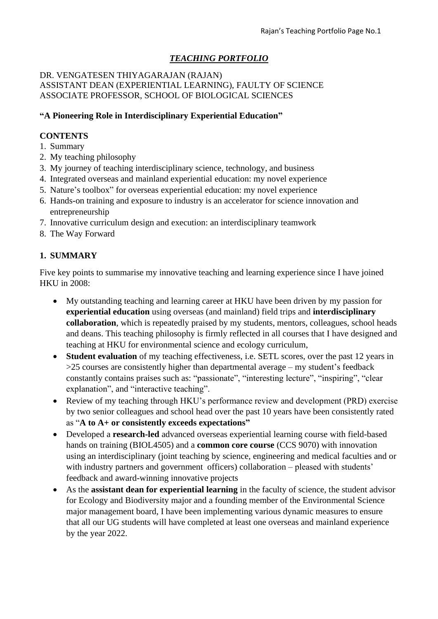# *TEACHING PORTFOLIO*

#### DR. VENGATESEN THIYAGARAJAN (RAJAN) ASSISTANT DEAN (EXPERIENTIAL LEARNING), FAULTY OF SCIENCE ASSOCIATE PROFESSOR, SCHOOL OF BIOLOGICAL SCIENCES

#### **"A Pioneering Role in Interdisciplinary Experiential Education"**

#### **CONTENTS**

- 1. Summary
- 2. My teaching philosophy
- 3. My journey of teaching interdisciplinary science, technology, and business
- 4. Integrated overseas and mainland experiential education: my novel experience
- 5. Nature's toolbox" for overseas experiential education: my novel experience
- 6. Hands-on training and exposure to industry is an accelerator for science innovation and entrepreneurship
- 7. Innovative curriculum design and execution: an interdisciplinary teamwork
- 8. The Way Forward

## **1. SUMMARY**

Five key points to summarise my innovative teaching and learning experience since I have joined HKU in 2008:

- My outstanding teaching and learning career at HKU have been driven by my passion for **experiential education** using overseas (and mainland) field trips and **interdisciplinary collaboration**, which is repeatedly praised by my students, mentors, colleagues, school heads and deans. This teaching philosophy is firmly reflected in all courses that I have designed and teaching at HKU for environmental science and ecology curriculum,
- **Student evaluation** of my teaching effectiveness, i.e. SETL scores, over the past 12 years in >25 courses are consistently higher than departmental average – my student's feedback constantly contains praises such as: "passionate", "interesting lecture", "inspiring", "clear explanation", and "interactive teaching".
- Review of my teaching through HKU's performance review and development (PRD) exercise by two senior colleagues and school head over the past 10 years have been consistently rated as "**A to A+ or consistently exceeds expectations"**
- Developed a **research-led** advanced overseas experiential learning course with field-based hands on training (BIOL4505) and a **common core course** (CCS 9070) with innovation using an interdisciplinary (joint teaching by science, engineering and medical faculties and or with industry partners and government officers) collaboration – pleased with students' feedback and award-winning innovative projects
- As the **assistant dean for experiential learning** in the faculty of science, the student advisor for Ecology and Biodiversity major and a founding member of the Environmental Science major management board, I have been implementing various dynamic measures to ensure that all our UG students will have completed at least one overseas and mainland experience by the year 2022.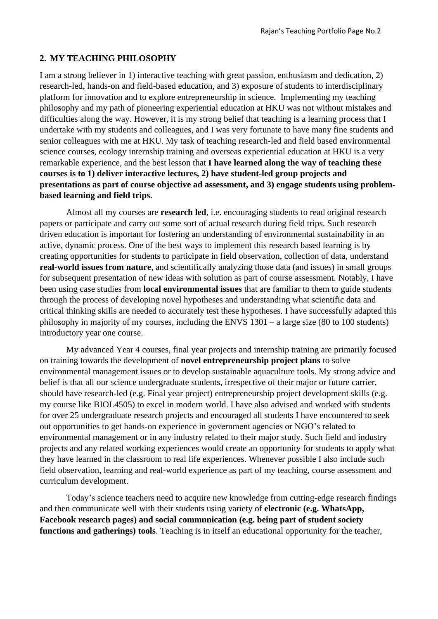## **2. MY TEACHING PHILOSOPHY**

I am a strong believer in 1) interactive teaching with great passion, enthusiasm and dedication, 2) research-led, hands-on and field-based education, and 3) exposure of students to interdisciplinary platform for innovation and to explore entrepreneurship in science. Implementing my teaching philosophy and my path of pioneering experiential education at HKU was not without mistakes and difficulties along the way. However, it is my strong belief that teaching is a learning process that I undertake with my students and colleagues, and I was very fortunate to have many fine students and senior colleagues with me at HKU. My task of teaching research-led and field based environmental science courses, ecology internship training and overseas experiential education at HKU is a very remarkable experience, and the best lesson that **I have learned along the way of teaching these courses is to 1) deliver interactive lectures, 2) have student-led group projects and presentations as part of course objective ad assessment, and 3) engage students using problembased learning and field trips**.

Almost all my courses are **research led**, i.e. encouraging students to read original research papers or participate and carry out some sort of actual research during field trips. Such research driven education is important for fostering an understanding of environmental sustainability in an active, dynamic process. One of the best ways to implement this research based learning is by creating opportunities for students to participate in field observation, collection of data, understand **real-world issues from nature**, and scientifically analyzing those data (and issues) in small groups for subsequent presentation of new ideas with solution as part of course assessment. Notably, I have been using case studies from **local environmental issues** that are familiar to them to guide students through the process of developing novel hypotheses and understanding what scientific data and critical thinking skills are needed to accurately test these hypotheses. I have successfully adapted this philosophy in majority of my courses, including the ENVS 1301 – a large size (80 to 100 students) introductory year one course.

My advanced Year 4 courses, final year projects and internship training are primarily focused on training towards the development of **novel entrepreneurship project plans** to solve environmental management issues or to develop sustainable aquaculture tools. My strong advice and belief is that all our science undergraduate students, irrespective of their major or future carrier, should have research-led (e.g. Final year project) entrepreneurship project development skills (e.g. my course like BIOL4505) to excel in modern world. I have also advised and worked with students for over 25 undergraduate research projects and encouraged all students I have encountered to seek out opportunities to get hands-on experience in government agencies or NGO's related to environmental management or in any industry related to their major study. Such field and industry projects and any related working experiences would create an opportunity for students to apply what they have learned in the classroom to real life experiences. Whenever possible I also include such field observation, learning and real-world experience as part of my teaching, course assessment and curriculum development.

Today's science teachers need to acquire new knowledge from cutting-edge research findings and then communicate well with their students using variety of **electronic (e.g. WhatsApp, Facebook research pages) and social communication (e.g. being part of student society functions and gatherings) tools**. Teaching is in itself an educational opportunity for the teacher,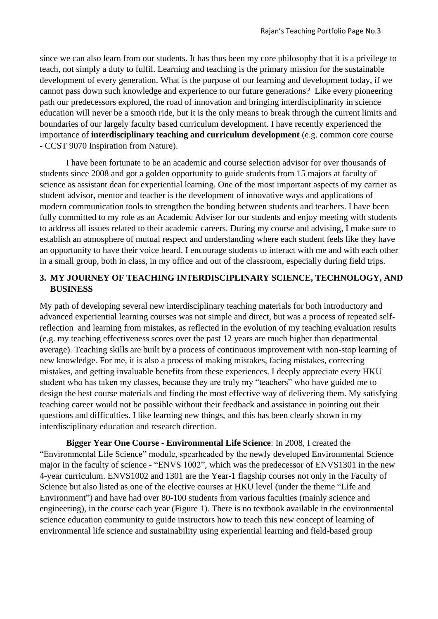since we can also learn from our students. It has thus been my core philosophy that it is a privilege to teach, not simply a duty to fulfil. Learning and teaching is the primary mission for the sustainable development of every generation. What is the purpose of our learning and development today, if we cannot pass down such knowledge and experience to our future generations? Like every pioneering path our predecessors explored, the road of innovation and bringing interdisciplinarity in science education will never be a smooth ride, but it is the only means to break through the current limits and boundaries of our largely faculty based curriculum development. I have recently experienced the importance of **interdisciplinary teaching and curriculum development** (e.g. common core course - CCST 9070 Inspiration from Nature).

I have been fortunate to be an academic and course selection advisor for over thousands of students since 2008 and got a golden opportunity to guide students from 15 majors at faculty of science as assistant dean for experiential learning. One of the most important aspects of my carrier as student advisor, mentor and teacher is the development of innovative ways and applications of modern communication tools to strengthen the bonding between students and teachers. I have been fully committed to my role as an Academic Adviser for our students and enjoy meeting with students to address all issues related to their academic careers. During my course and advising, I make sure to establish an atmosphere of mutual respect and understanding where each student feels like they have an opportunity to have their voice heard. I encourage students to interact with me and with each other in a small group, both in class, in my office and out of the classroom, especially during field trips.

#### **3. MY JOURNEY OF TEACHING INTERDISCIPLINARY SCIENCE, TECHNOLOGY, AND BUSINESS**

My path of developing several new interdisciplinary teaching materials for both introductory and advanced experiential learning courses was not simple and direct, but was a process of repeated selfreflection and learning from mistakes, as reflected in the evolution of my teaching evaluation results (e.g. my teaching effectiveness scores over the past 12 years are much higher than departmental average). Teaching skills are built by a process of continuous improvement with non-stop learning of new knowledge. For me, it is also a process of making mistakes, facing mistakes, correcting mistakes, and getting invaluable benefits from these experiences. I deeply appreciate every HKU student who has taken my classes, because they are truly my "teachers" who have guided me to design the best course materials and finding the most effective way of delivering them. My satisfying teaching career would not be possible without their feedback and assistance in pointing out their questions and difficulties. I like learning new things, and this has been clearly shown in my interdisciplinary education and research direction.

**Bigger Year One Course - Environmental Life Science**: In 2008, I created the "Environmental Life Science" module, spearheaded by the newly developed Environmental Science major in the faculty of science - "ENVS 1002", which was the predecessor of ENVS1301 in the new 4-year curriculum. ENVS1002 and 1301 are the Year-1 flagship courses not only in the Faculty of Science but also listed as one of the elective courses at HKU level (under the theme "Life and Environment") and have had over 80-100 students from various faculties (mainly science and engineering), in the course each year (Figure 1). There is no textbook available in the environmental science education community to guide instructors how to teach this new concept of learning of environmental life science and sustainability using experiential learning and field-based group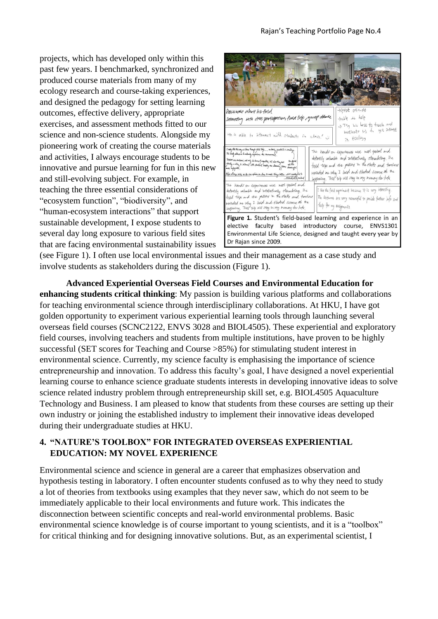projects, which has developed only within this past few years. I benchmarked, synchronized and produced course materials from many of my ecology research and course-taking experiences, and designed the pedagogy for setting learning outcomes, effective delivery, appropriate exercises, and assessment methods fitted to our science and non-science students. Alongside my pioneering work of creating the course materials and activities, I always encourage students to be innovative and pursue learning for fun in this new and still-evolving subject. For example, in teaching the three essential considerations of "ecosystem function", "biodiversity", and "human-ecosystem interactions" that support sustainable development, I expose students to several day long exposure to various field sites that are facing environmental sustainability issues



(see Figure 1). I often use local environmental issues and their management as a case study and involve students as stakeholders during the discussion (Figure 1).

**Advanced Experiential Overseas Field Courses and Environmental Education for enhancing students critical thinking**: My passion is building various platforms and collaborations for teaching environmental science through interdisciplinary collaborations. At HKU, I have got golden opportunity to experiment various experiential learning tools through launching several overseas field courses (SCNC2122, ENVS 3028 and BIOL4505). These experiential and exploratory field courses, involving teachers and students from multiple institutions, have proven to be highly successful (SET scores for Teaching and Course >85%) for stimulating student interest in environmental science. Currently, my science faculty is emphasising the importance of science entrepreneurship and innovation. To address this faculty's goal, I have designed a novel experiential learning course to enhance science graduate students interests in developing innovative ideas to solve science related industry problem through entrepreneurship skill set, e.g. BIOL4505 Aquaculture Technology and Business. I am pleased to know that students from these courses are setting up their own industry or joining the established industry to implement their innovative ideas developed during their undergraduate studies at HKU.

#### **4. "NATURE'S TOOLBOX" FOR INTEGRATED OVERSEAS EXPERIENTIAL EDUCATION: MY NOVEL EXPERIENCE**

Environmental science and science in general are a career that emphasizes observation and hypothesis testing in laboratory. I often encounter students confused as to why they need to study a lot of theories from textbooks using examples that they never saw, which do not seem to be immediately applicable to their local environments and future work. This indicates the disconnection between scientific concepts and real-world environmental problems. Basic environmental science knowledge is of course important to young scientists, and it is a "toolbox" for critical thinking and for designing innovative solutions. But, as an experimental scientist, I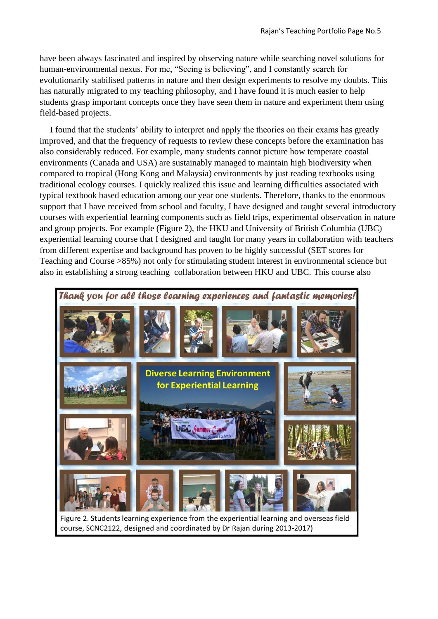have been always fascinated and inspired by observing nature while searching novel solutions for human-environmental nexus. For me, "Seeing is believing", and I constantly search for evolutionarily stabilised patterns in nature and then design experiments to resolve my doubts. This has naturally migrated to my teaching philosophy, and I have found it is much easier to help students grasp important concepts once they have seen them in nature and experiment them using field-based projects.

I found that the students' ability to interpret and apply the theories on their exams has greatly improved, and that the frequency of requests to review these concepts before the examination has also considerably reduced. For example, many students cannot picture how temperate coastal environments (Canada and USA) are sustainably managed to maintain high biodiversity when compared to tropical (Hong Kong and Malaysia) environments by just reading textbooks using traditional ecology courses. I quickly realized this issue and learning difficulties associated with typical textbook based education among our year one students. Therefore, thanks to the enormous support that I have received from school and faculty, I have designed and taught several introductory courses with experiential learning components such as field trips, experimental observation in nature and group projects. For example (Figure 2), the HKU and University of British Columbia (UBC) experiential learning course that I designed and taught for many years in collaboration with teachers from different expertise and background has proven to be highly successful (SET scores for Teaching and Course >85%) not only for stimulating student interest in environmental science but also in establishing a strong teaching collaboration between HKU and UBC. This course also

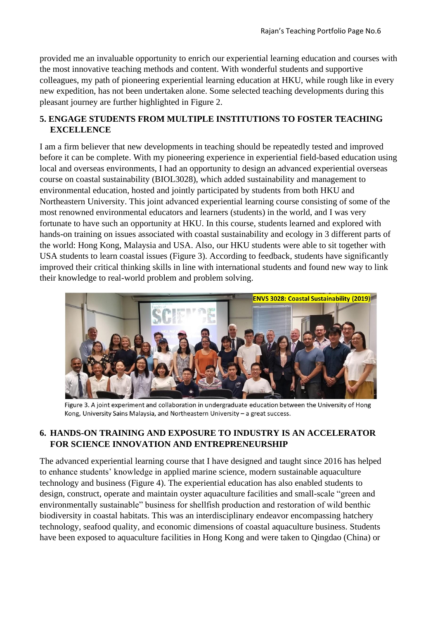provided me an invaluable opportunity to enrich our experiential learning education and courses with the most innovative teaching methods and content. With wonderful students and supportive colleagues, my path of pioneering experiential learning education at HKU, while rough like in every new expedition, has not been undertaken alone. Some selected teaching developments during this pleasant journey are further highlighted in Figure 2.

## **5. ENGAGE STUDENTS FROM MULTIPLE INSTITUTIONS TO FOSTER TEACHING EXCELLENCE**

I am a firm believer that new developments in teaching should be repeatedly tested and improved before it can be complete. With my pioneering experience in experiential field-based education using local and overseas environments, I had an opportunity to design an advanced experiential overseas course on coastal sustainability (BIOL3028), which added sustainability and management to environmental education, hosted and jointly participated by students from both HKU and Northeastern University. This joint advanced experiential learning course consisting of some of the most renowned environmental educators and learners (students) in the world, and I was very fortunate to have such an opportunity at HKU. In this course, students learned and explored with hands-on training on issues associated with coastal sustainability and ecology in 3 different parts of the world: Hong Kong, Malaysia and USA. Also, our HKU students were able to sit together with USA students to learn coastal issues (Figure 3). According to feedback, students have significantly improved their critical thinking skills in line with international students and found new way to link their knowledge to real-world problem and problem solving.



Figure 3. A joint experiment and collaboration in undergraduate education between the University of Hong Kong, University Sains Malaysia, and Northeastern University - a great success.

## **6. HANDS-ON TRAINING AND EXPOSURE TO INDUSTRY IS AN ACCELERATOR FOR SCIENCE INNOVATION AND ENTREPRENEURSHIP**

The advanced experiential learning course that I have designed and taught since 2016 has helped to enhance students' knowledge in applied marine science, modern sustainable aquaculture technology and business (Figure 4). The experiential education has also enabled students to design, construct, operate and maintain oyster aquaculture facilities and small-scale "green and environmentally sustainable" business for shellfish production and restoration of wild benthic biodiversity in coastal habitats. This was an interdisciplinary endeavor encompassing hatchery technology, seafood quality, and economic dimensions of coastal aquaculture business. Students have been exposed to aquaculture facilities in Hong Kong and were taken to Qingdao (China) or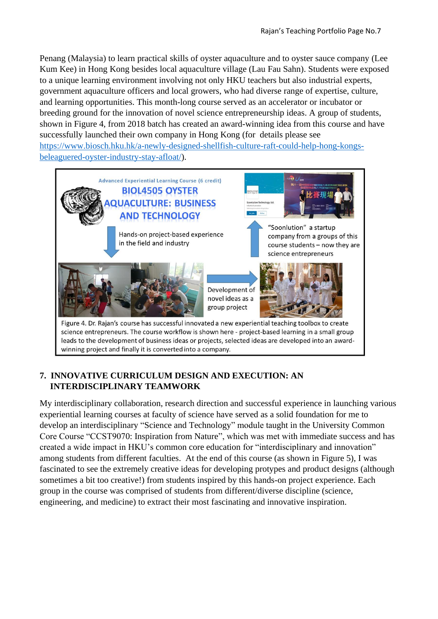Penang (Malaysia) to learn practical skills of oyster aquaculture and to oyster sauce company (Lee Kum Kee) in Hong Kong besides local aquaculture village (Lau Fau Sahn). Students were exposed to a unique learning environment involving not only HKU teachers but also industrial experts, government aquaculture officers and local growers, who had diverse range of expertise, culture, and learning opportunities. This month-long course served as an accelerator or incubator or breeding ground for the innovation of novel science entrepreneurship ideas. A group of students, shown in Figure 4, from 2018 batch has created an award-winning idea from this course and have successfully launched their own company in Hong Kong (for details please see [https://www.biosch.hku.hk/a-newly-designed-shellfish-culture-raft-could-help-hong-kongs](https://www.biosch.hku.hk/a-newly-designed-shellfish-culture-raft-could-help-hong-kongs-beleaguered-oyster-industry-stay-afloat/)[beleaguered-oyster-industry-stay-afloat/\)](https://www.biosch.hku.hk/a-newly-designed-shellfish-culture-raft-could-help-hong-kongs-beleaguered-oyster-industry-stay-afloat/).



## **7. INNOVATIVE CURRICULUM DESIGN AND EXECUTION: AN INTERDISCIPLINARY TEAMWORK**

My interdisciplinary collaboration, research direction and successful experience in launching various experiential learning courses at faculty of science have served as a solid foundation for me to develop an interdisciplinary "Science and Technology" module taught in the University Common Core Course "CCST9070: Inspiration from Nature", which was met with immediate success and has created a wide impact in HKU's common core education for "interdisciplinary and innovation" among students from different faculties. At the end of this course (as shown in Figure 5), I was fascinated to see the extremely creative ideas for developing protypes and product designs (although sometimes a bit too creative!) from students inspired by this hands-on project experience. Each group in the course was comprised of students from different/diverse discipline (science, engineering, and medicine) to extract their most fascinating and innovative inspiration.